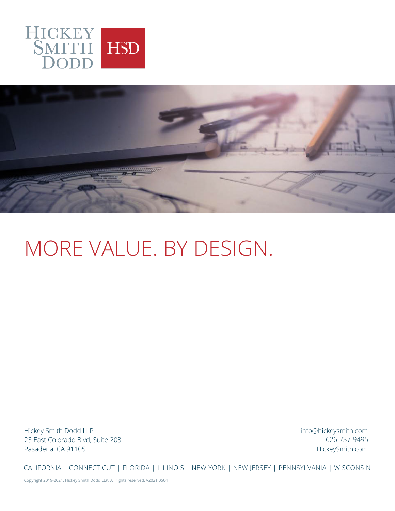



# MORE VALUE. BY DESIGN.

Hickey Smith Dodd LLP 23 East Colorado Blvd, Suite 203 Pasadena, CA 91105

info@hickeysmith.com HickeySmith.com 626-737-9495

CALIFORNIA | CONNECTICUT | FLORIDA | ILLINOIS | NEW YORK | NEW JERSEY | PENNSYLVANIA | WISCONSIN

Copyright 2019-2021. Hickey Smith Dodd LLP. All rights reserved. V2021 0504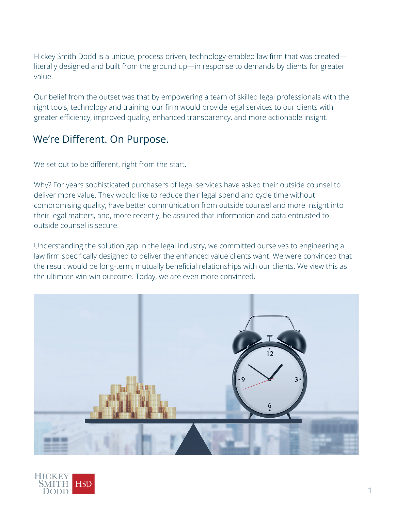Hickey Smith Dodd is a unique, process driven, technology-enabled law firm that was created literally designed and built from the ground up—in response to demands by clients for greater value.

Our belief from the outset was that by empowering a team of skilled legal professionals with the right tools, technology and training, our firm would provide legal services to our clients with greater efficiency, improved quality, enhanced transparency, and more actionable insight.

### We're Different. On Purpose.

We set out to be different, right from the start.

Why? For years sophisticated purchasers of legal services have asked their outside counsel to deliver more value. They would like to reduce their legal spend and cycle time without compromising quality, have better communication from outside counsel and more insight into their legal matters, and, more recently, be assured that information and data entrusted to outside counsel is secure.

Understanding the solution gap in the legal industry, we committed ourselves to engineering a law firm specifically designed to deliver the enhanced value clients want. We were convinced that the result would be long-term, mutually beneficial relationships with our clients. We view this as the ultimate win-win outcome. Today, we are even more convinced.



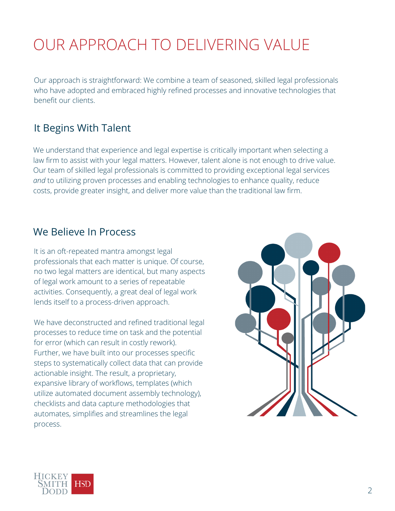# OUR APPROACH TO DELIVERING VALUE

Our approach is straightforward: We combine a team of seasoned, skilled legal professionals who have adopted and embraced highly refined processes and innovative technologies that benefit our clients.

### It Begins With Talent

We understand that experience and legal expertise is critically important when selecting a law firm to assist with your legal matters. However, talent alone is not enough to drive value. Our team of skilled legal professionals is committed to providing exceptional legal services *and* to utilizing proven processes and enabling technologies to enhance quality, reduce costs, provide greater insight, and deliver more value than the traditional law firm.

### We Believe In Process

It is an oft-repeated mantra amongst legal professionals that each matter is unique. Of course, no two legal matters are identical, but many aspects of legal work amount to a series of repeatable activities. Consequently, a great deal of legal work lends itself to a process-driven approach.

We have deconstructed and refined traditional legal processes to reduce time on task and the potential for error (which can result in costly rework). Further, we have built into our processes specific steps to systematically collect data that can provide actionable insight. The result, a proprietary, expansive library of workflows, templates (which utilize automated document assembly technology), checklists and data capture methodologies that automates, simplifies and streamlines the legal process.



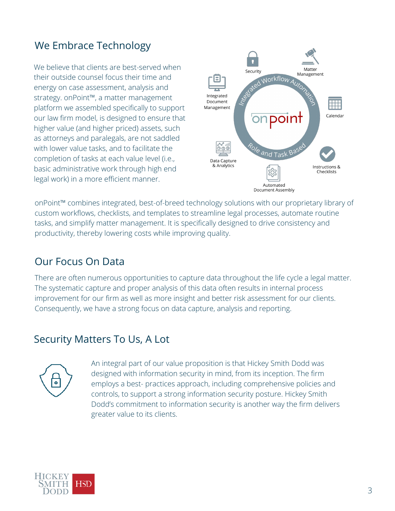## We Embrace Technology

We believe that clients are best-served when their outside counsel focus their time and energy on case assessment, analysis and strategy. onPoint™, a matter management platform we assembled specifically to support our law firm model, is designed to ensure that higher value (and higher priced) assets, such as attorneys and paralegals, are not saddled with lower value tasks, and to facilitate the completion of tasks at each value level (i.e., basic administrative work through high end legal work) in a more efficient manner.



onPoint™ combines integrated, best-of-breed technology solutions with our proprietary library of custom workflows, checklists, and templates to streamline legal processes, automate routine tasks, and simplify matter management. It is specifically designed to drive consistency and productivity, thereby lowering costs while improving quality.

### Our Focus On Data

There are often numerous opportunities to capture data throughout the life cycle a legal matter. The systematic capture and proper analysis of this data often results in internal process improvement for our firm as well as more insight and better risk assessment for our clients. Consequently, we have a strong focus on data capture, analysis and reporting.

#### Security Matters To Us, A Lot



An integral part of our value proposition is that Hickey Smith Dodd was designed with information security in mind, from its inception. The firm employs a best- practices approach, including comprehensive policies and controls, to support a strong information security posture. Hickey Smith Dodd's commitment to information security is another way the firm delivers greater value to its clients.

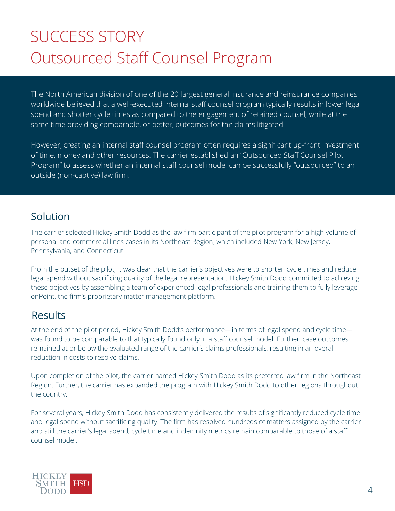# SUCCESS STORY Outsourced Staff Counsel Program

The North American division of one of the 20 largest general insurance and reinsurance companies worldwide believed that a well-executed internal staff counsel program typically results in lower legal spend and shorter cycle times as compared to the engagement of retained counsel, while at the same time providing comparable, or better, outcomes for the claims litigated.

However, creating an internal staff counsel program often requires a significant up-front investment of time, money and other resources. The carrier established an "Outsourced Staff Counsel Pilot Program" to assess whether an internal staff counsel model can be successfully "outsourced" to an outside (non-captive) law firm.

#### Solution

The carrier selected Hickey Smith Dodd as the law firm participant of the pilot program for a high volume of personal and commercial lines cases in its Northeast Region, which included New York, New Jersey, Pennsylvania, and Connecticut.

From the outset of the pilot, it was clear that the carrier's objectives were to shorten cycle times and reduce legal spend without sacrificing quality of the legal representation. Hickey Smith Dodd committed to achieving these objectives by assembling a team of experienced legal professionals and training them to fully leverage onPoint, the firm's proprietary matter management platform.

#### **Results**

At the end of the pilot period, Hickey Smith Dodd's performance—in terms of legal spend and cycle time was found to be comparable to that typically found only in a staff counsel model. Further, case outcomes remained at or below the evaluated range of the carrier's claims professionals, resulting in an overall reduction in costs to resolve claims.

Upon completion of the pilot, the carrier named Hickey Smith Dodd as its preferred law firm in the Northeast Region. Further, the carrier has expanded the program with Hickey Smith Dodd to other regions throughout the country.

For several years, Hickey Smith Dodd has consistently delivered the results of significantly reduced cycle time and legal spend without sacrificing quality. The firm has resolved hundreds of matters assigned by the carrier and still the carrier's legal spend, cycle time and indemnity metrics remain comparable to those of a staff counsel model.

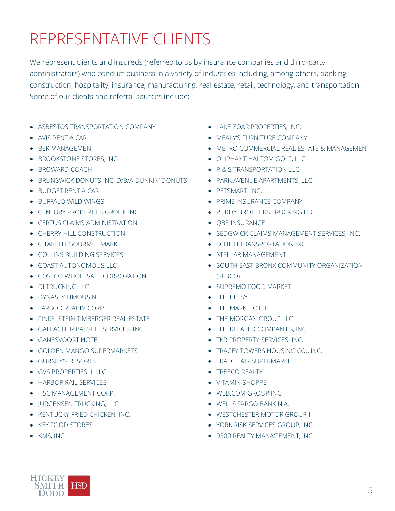# REPRESENTATIVE CLIENTS

We represent clients and insureds (referred to us by insurance companies and third-party administrators) who conduct business in a variety of industries including, among others, banking, construction, hospitality, insurance, manufacturing, real estate, retail, technology, and transportation. Some of our clients and referral sources include:

- ASBESTOS TRANSPORTATION COMPANY
- AVIS RENT A CAR
- **BEK MANAGEMENT**
- **BROOKSTONE STORES, INC.**
- BROWARD COACH
- **BRUNSWICK DONUTS INC. D/B/A DUNKIN' DONUTS**
- BUDGET RENT A CAR
- BUFFALO WILD WINGS
- CENTURY PROPERTIES GROUP INC
- **CERTUS CLAIMS ADMINISTRATION**
- **CHERRY HILL CONSTRUCTION**
- **CITARELLI GOURMET MARKET**
- **COLLINS BUILDING SERVICES**
- COAST AUTONOMOUS LLC
- **COSTCO WHOLESALE CORPORATION**
- DI TRUCKING LLC
- **DYNASTY LIMOUSINE**
- FARBOD REALTY CORP.
- **FINKELSTEIN TIMBERGER REAL ESTATE**
- GALLAGHER BASSETT SERVICES, INC.
- GANESVOORT HOTEL
- GOLDEN MANGO SUPERMARKETS
- GURNEY'S RESORTS
- GVS PROPERTIES II, LLC
- **HARBOR RAIL SERVICES**
- HSC MANAGEMENT CORP.
- **IURGENSEN TRUCKING, LLC**
- **KENTUCKY FRIED CHICKEN, INC.**
- KEY FOOD STORES
- KMS, INC.
- LAKE ZOAR PROPERTIES, INC.
- **MEALY'S FURNITURE COMPANY**
- METRO COMMERCIAL REAL ESTATE & MANAGEMENT
- OLIPHANT HALTOM GOLF, LLC
- P & S TRANSPORTATION LLC
- PARK AVENUE APARTMENTS, LLC
- PETSMART, INC.
- **PRIME INSURANCE COMPANY**
- **PURDY BROTHERS TRUCKING LLC**
- OBE INSURANCE
- **SEDGWICK CLAIMS MANAGEMENT SERVICES, INC.**
- **SCHILLI TRANSPORTATION INC.**
- STELLAR MANAGEMENT
- **SOUTH EAST BRONX COMMUNITY ORGANIZATION** (SEBCO)
- **SUPREMO FOOD MARKET**
- THE BETSY
- **THE MARK HOTEL**
- **THE MORGAN GROUP LLC**
- THE RELATED COMPANIES, INC.
- **TKR PROPERTY SERVICES, INC.**
- **TRACEY TOWERS HOUSING CO., INC.**
- **TRADE FAIR SUPERMARKET**
- **TREECO REALTY**
- VITAMIN SHOPPE
- WEB.COM GROUP INC.
- WELLS FARGO BANK N.A.
- **WESTCHESTER MOTOR GROUP II**
- YORK RISK SERVICES GROUP, INC.
- 9300 REALTY MANAGEMENT, INC.